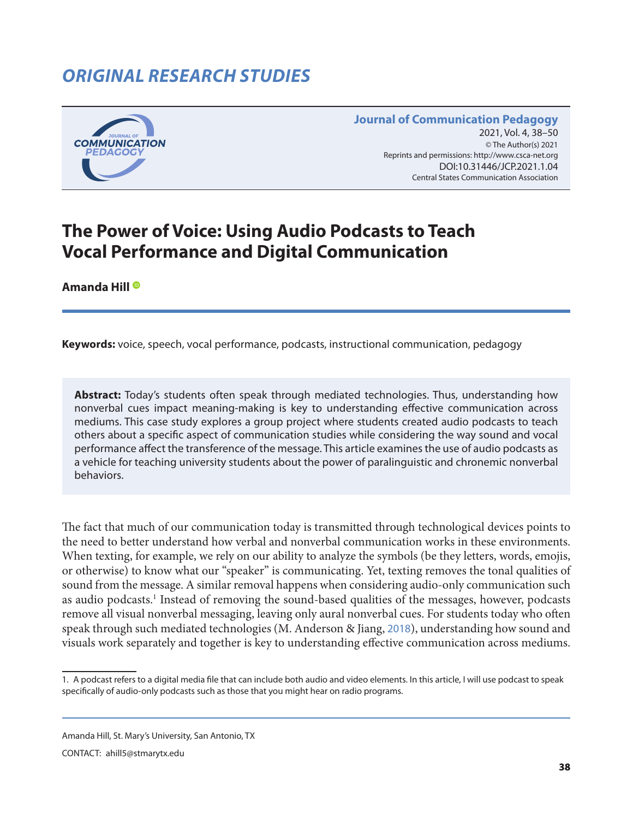# *ORIGINAL RESEARCH STUDIES*



#### **Journal of Communication Pedagogy** 2021, Vol. 4, 38–50 © The Author(s) 2021 Reprints and permissions: <http://www.csca-net.org> 2021, Vol. 4, 38–502021Reprints and permissions:<http://www.csca-net.org> DOI:10.31446/JCP.2021.1.04 Central States Communication Association Central States Communication Association

# **The Power of Voice: Using Audio Podcasts to Teach Vocal Performance and Digital Communication**

**Amanda Hill**

**Keywords:** voice, speech, vocal performance, podcasts, instructional communication, pedagogy

**Abstract:** Today's students often speak through mediated technologies. Thus, understanding how nonverbal cues impact meaning-making is key to understanding effective communication across mediums. This case study explores a group project where students created audio podcasts to teach others about a specific aspect of communication studies while considering the way sound and vocal performance affect the transference of the message. This article examines the use of audio podcasts as a vehicle for teaching university students about the power of paralinguistic and chronemic nonverbal behaviors.

The fact that much of our communication today is transmitted through technological devices points to the need to better understand how verbal and nonverbal communication works in these environments. When texting, for example, we rely on our ability to analyze the symbols (be they letters, words, emojis, or otherwise) to know what our "speaker" is communicating. Yet, texting removes the tonal qualities of sound from the message. A similar removal happens when considering audio-only communication such as audio podcasts.<sup>1</sup> Instead of removing the sound-based qualities of the messages, however, podcasts remove all visual nonverbal messaging, leaving only aural nonverbal cues. For students today who often speak through such mediated technologies (M. Anderson & Jiang, [2018](#page-10-0)), understanding how sound and visuals work separately and together is key to understanding effective communication across mediums.

Amanda Hill, St. Mary's University, San Antonio, TX

CONTACT: ahill5@stmarytx.edu

<sup>1.</sup> A podcast refers to a digital media file that can include both audio and video elements. In this article, I will use podcast to speak specifically of audio-only podcasts such as those that you might hear on radio programs.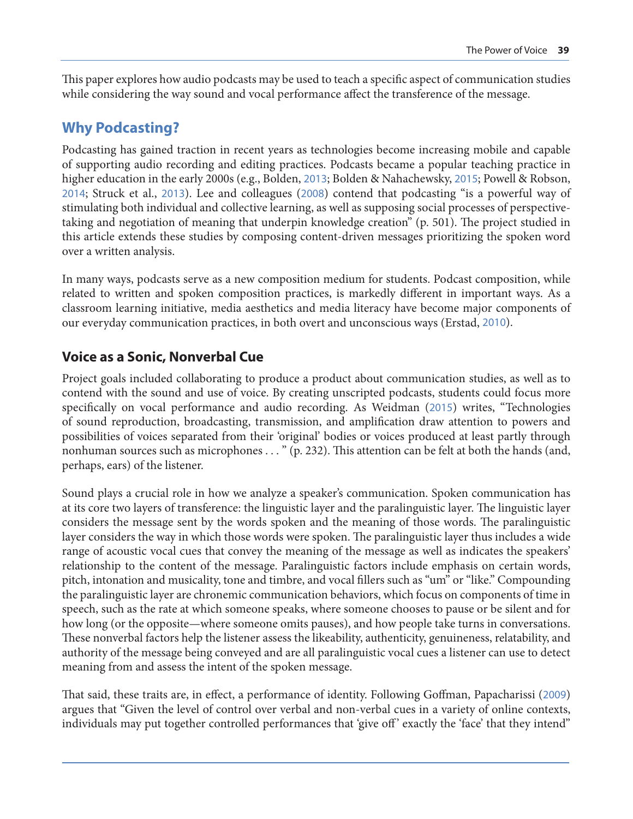This paper explores how audio podcasts may be used to teach a specific aspect of communication studies while considering the way sound and vocal performance affect the transference of the message.

# **Why Podcasting?**

Podcasting has gained traction in recent years as technologies become increasing mobile and capable of supporting audio recording and editing practices. Podcasts became a popular teaching practice in higher education in the early 2000s (e.g., Bolden, [2013](#page-10-0); Bolden & Nahachewsky, [2015](#page-10-0); Powell & Robson, [2014](#page-11-0); Struck et al., [2013](#page-12-0)). Lee and colleagues ([2008](#page-11-0)) contend that podcasting "is a powerful way of stimulating both individual and collective learning, as well as supposing social processes of perspectivetaking and negotiation of meaning that underpin knowledge creation" (p. 501). The project studied in this article extends these studies by composing content-driven messages prioritizing the spoken word over a written analysis.

In many ways, podcasts serve as a new composition medium for students. Podcast composition, while related to written and spoken composition practices, is markedly different in important ways. As a classroom learning initiative, media aesthetics and media literacy have become major components of our everyday communication practices, in both overt and unconscious ways (Erstad, [2010](#page-10-0)).

# **Voice as a Sonic, Nonverbal Cue**

Project goals included collaborating to produce a product about communication studies, as well as to contend with the sound and use of voice. By creating unscripted podcasts, students could focus more specifically on vocal performance and audio recording. As Weidman ([2015](#page-12-0)) writes, "Technologies of sound reproduction, broadcasting, transmission, and amplification draw attention to powers and possibilities of voices separated from their 'original' bodies or voices produced at least partly through nonhuman sources such as microphones . . . " (p. 232). This attention can be felt at both the hands (and, perhaps, ears) of the listener.

Sound plays a crucial role in how we analyze a speaker's communication. Spoken communication has at its core two layers of transference: the linguistic layer and the paralinguistic layer. The linguistic layer considers the message sent by the words spoken and the meaning of those words. The paralinguistic layer considers the way in which those words were spoken. The paralinguistic layer thus includes a wide range of acoustic vocal cues that convey the meaning of the message as well as indicates the speakers' relationship to the content of the message. Paralinguistic factors include emphasis on certain words, pitch, intonation and musicality, tone and timbre, and vocal fillers such as "um" or "like." Compounding the paralinguistic layer are chronemic communication behaviors, which focus on components of time in speech, such as the rate at which someone speaks, where someone chooses to pause or be silent and for how long (or the opposite—where someone omits pauses), and how people take turns in conversations. These nonverbal factors help the listener assess the likeability, authenticity, genuineness, relatability, and authority of the message being conveyed and are all paralinguistic vocal cues a listener can use to detect meaning from and assess the intent of the spoken message.

That said, these traits are, in effect, a performance of identity. Following Goffman, Papacharissi ([2009](#page-11-0)) argues that "Given the level of control over verbal and non-verbal cues in a variety of online contexts, individuals may put together controlled performances that 'give off' exactly the 'face' that they intend"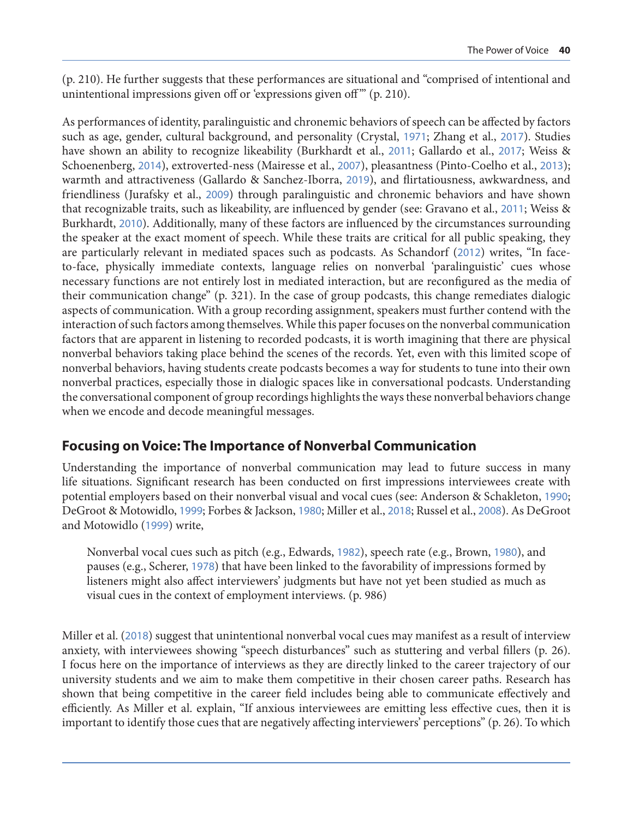(p. 210). He further suggests that these performances are situational and "comprised of intentional and unintentional impressions given off or 'expressions given off" (p. 210).

As performances of identity, paralinguistic and chronemic behaviors of speech can be affected by factors such as age, gender, cultural background, and personality (Crystal, [1971](#page-10-0); Zhang et al., [2017](#page-12-0)). Studies have shown an ability to recognize likeability (Burkhardt et al., [2011](#page-10-0); Gallardo et al., [2017](#page-11-0); Weiss & Schoenenberg, [2014](#page-12-0)), extroverted-ness (Mairesse et al., [2007](#page-11-0)), pleasantness (Pinto-Coelho et al., [2013](#page-11-0)); warmth and attractiveness (Gallardo & Sanchez-Iborra, [2019](#page-11-0)), and flirtatiousness, awkwardness, and friendliness (Jurafsky et al., [2009](#page-11-0)) through paralinguistic and chronemic behaviors and have shown that recognizable traits, such as likeability, are influenced by gender (see: Gravano et al., [2011](#page-11-0); Weiss & Burkhardt, [2010](#page-12-0)). Additionally, many of these factors are influenced by the circumstances surrounding the speaker at the exact moment of speech. While these traits are critical for all public speaking, they are particularly relevant in mediated spaces such as podcasts. As Schandorf ([2012](#page-12-0)) writes, "In faceto-face, physically immediate contexts, language relies on nonverbal 'paralinguistic' cues whose necessary functions are not entirely lost in mediated interaction, but are reconfigured as the media of their communication change" (p. 321). In the case of group podcasts, this change remediates dialogic aspects of communication. With a group recording assignment, speakers must further contend with the interaction of such factors among themselves. While this paper focuses on the nonverbal communication factors that are apparent in listening to recorded podcasts, it is worth imagining that there are physical nonverbal behaviors taking place behind the scenes of the records. Yet, even with this limited scope of nonverbal behaviors, having students create podcasts becomes a way for students to tune into their own nonverbal practices, especially those in dialogic spaces like in conversational podcasts. Understanding the conversational component of group recordings highlights the ways these nonverbal behaviors change when we encode and decode meaningful messages.

#### **Focusing on Voice: The Importance of Nonverbal Communication**

Understanding the importance of nonverbal communication may lead to future success in many life situations. Significant research has been conducted on first impressions interviewees create with potential employers based on their nonverbal visual and vocal cues (see: Anderson & Schakleton, [1990](#page-10-0); DeGroot & Motowidlo, [1999](#page-11-0); Forbes & Jackson, [1980](#page-11-0); Miller et al., [2018](#page-11-0); Russel et al., [2008](#page-11-0)). As DeGroot and Motowidlo ([1999](#page-11-0)) write,

Nonverbal vocal cues such as pitch (e.g., Edwards, [1982](#page-10-0)), speech rate (e.g., Brown, [1980](#page-10-0)), and pauses (e.g., Scherer, [1978](#page-12-0)) that have been linked to the favorability of impressions formed by listeners might also affect interviewers' judgments but have not yet been studied as much as visual cues in the context of employment interviews. (p. 986)

Miller et al. ([2018](#page-11-0)) suggest that unintentional nonverbal vocal cues may manifest as a result of interview anxiety, with interviewees showing "speech disturbances" such as stuttering and verbal fillers (p. 26). I focus here on the importance of interviews as they are directly linked to the career trajectory of our university students and we aim to make them competitive in their chosen career paths. Research has shown that being competitive in the career field includes being able to communicate effectively and efficiently. As Miller et al. explain, "If anxious interviewees are emitting less effective cues, then it is important to identify those cues that are negatively affecting interviewers' perceptions" (p. 26). To which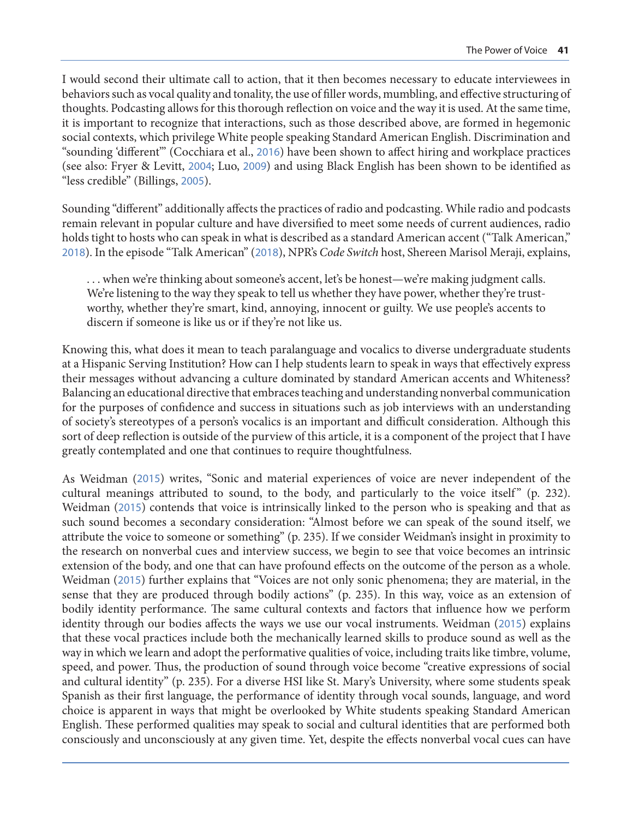I would second their ultimate call to action, that it then becomes necessary to educate interviewees in behaviors such as vocal quality and tonality, the use of filler words, mumbling, and effective structuring of thoughts. Podcasting allows for this thorough reflection on voice and the way it is used. At the same time, it is important to recognize that interactions, such as those described above, are formed in hegemonic social contexts, which privilege White people speaking Standard American English. Discrimination and "sounding 'different'" (Cocchiara et al., [2016](#page-10-0)) have been shown to affect hiring and workplace practices (see also: Fryer & Levitt, [2004](#page-11-0); Luo, [2009](#page-11-0)) and using Black English has been shown to be identified as "less credible" (Billings, [2005](#page-10-0)).

Sounding "different" additionally affects the practices of radio and podcasting. While radio and podcasts remain relevant in popular culture and have diversified to meet some needs of current audiences, radio holds tight to hosts who can speak in what is described as a standard American accent ("Talk American," [2018](#page-12-0)). In the episode "Talk American" ([2018](#page-12-0)), NPR's *Code Switch* host, Shereen Marisol Meraji, explains,

. . . when we're thinking about someone's accent, let's be honest—we're making judgment calls. We're listening to the way they speak to tell us whether they have power, whether they're trustworthy, whether they're smart, kind, annoying, innocent or guilty. We use people's accents to discern if someone is like us or if they're not like us.

Knowing this, what does it mean to teach paralanguage and vocalics to diverse undergraduate students at a Hispanic Serving Institution? How can I help students learn to speak in ways that effectively express their messages without advancing a culture dominated by standard American accents and Whiteness? Balancing an educational directive that embraces teaching and understanding nonverbal communication for the purposes of confidence and success in situations such as job interviews with an understanding of society's stereotypes of a person's vocalics is an important and difficult consideration. Although this sort of deep reflection is outside of the purview of this article, it is a component of the project that I have greatly contemplated and one that continues to require thoughtfulness.

As Weidman ([2015](#page-12-0)) writes, "Sonic and material experiences of voice are never independent of the cultural meanings attributed to sound, to the body, and particularly to the voice itself" (p. 232). Weidman ([2015](#page-12-0)) contends that voice is intrinsically linked to the person who is speaking and that as such sound becomes a secondary consideration: "Almost before we can speak of the sound itself, we attribute the voice to someone or something" (p. 235). If we consider Weidman's insight in proximity to the research on nonverbal cues and interview success, we begin to see that voice becomes an intrinsic extension of the body, and one that can have profound effects on the outcome of the person as a whole. Weidman ([2015](#page-12-0)) further explains that "Voices are not only sonic phenomena; they are material, in the sense that they are produced through bodily actions" (p. 235). In this way, voice as an extension of bodily identity performance. The same cultural contexts and factors that influence how we perform identity through our bodies affects the ways we use our vocal instruments. Weidman ([2015](#page-12-0)) explains that these vocal practices include both the mechanically learned skills to produce sound as well as the way in which we learn and adopt the performative qualities of voice, including traits like timbre, volume, speed, and power. Thus, the production of sound through voice become "creative expressions of social and cultural identity" (p. 235). For a diverse HSI like St. Mary's University, where some students speak Spanish as their first language, the performance of identity through vocal sounds, language, and word choice is apparent in ways that might be overlooked by White students speaking Standard American English. These performed qualities may speak to social and cultural identities that are performed both consciously and unconsciously at any given time. Yet, despite the effects nonverbal vocal cues can have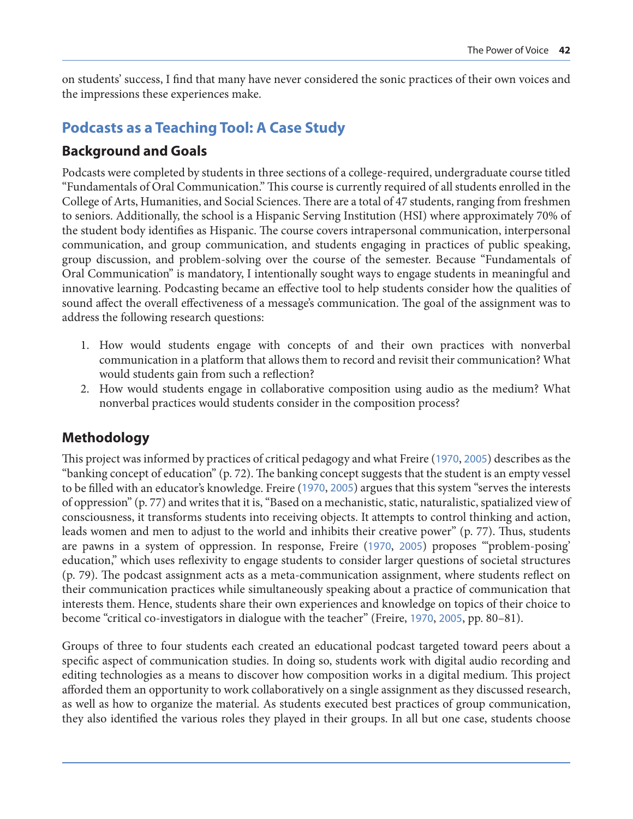on students' success, I find that many have never considered the sonic practices of their own voices and the impressions these experiences make.

# **Podcasts as a Teaching Tool: A Case Study**

#### **Background and Goals**

Podcasts were completed by students in three sections of a college-required, undergraduate course titled "Fundamentals of Oral Communication." This course is currently required of all students enrolled in the College of Arts, Humanities, and Social Sciences. There are a total of 47 students, ranging from freshmen to seniors. Additionally, the school is a Hispanic Serving Institution (HSI) where approximately 70% of the student body identifies as Hispanic. The course covers intrapersonal communication, interpersonal communication, and group communication, and students engaging in practices of public speaking, group discussion, and problem-solving over the course of the semester. Because "Fundamentals of Oral Communication" is mandatory, I intentionally sought ways to engage students in meaningful and innovative learning. Podcasting became an effective tool to help students consider how the qualities of sound affect the overall effectiveness of a message's communication. The goal of the assignment was to address the following research questions:

- 1. How would students engage with concepts of and their own practices with nonverbal communication in a platform that allows them to record and revisit their communication? What would students gain from such a reflection?
- 2. How would students engage in collaborative composition using audio as the medium? What nonverbal practices would students consider in the composition process?

# **Methodology**

This project was informed by practices of critical pedagogy and what Freire ([1970](#page-11-0), [2005](#page-11-0)) describes as the "banking concept of education" (p. 72). The banking concept suggests that the student is an empty vessel to be filled with an educator's knowledge. Freire ([1970](#page-11-0), [2005](#page-11-0)) argues that this system "serves the interests of oppression" (p. 77) and writes that it is, "Based on a mechanistic, static, naturalistic, spatialized view of consciousness, it transforms students into receiving objects. It attempts to control thinking and action, leads women and men to adjust to the world and inhibits their creative power" (p. 77). Thus, students are pawns in a system of oppression. In response, Freire ([1970](#page-11-0), [2005](#page-11-0)) proposes "'problem-posing' education," which uses reflexivity to engage students to consider larger questions of societal structures (p. 79). The podcast assignment acts as a meta-communication assignment, where students reflect on their communication practices while simultaneously speaking about a practice of communication that interests them. Hence, students share their own experiences and knowledge on topics of their choice to become "critical co-investigators in dialogue with the teacher" (Freire, [1970](#page-11-0), [2005](#page-11-0), pp. 80–81).

Groups of three to four students each created an educational podcast targeted toward peers about a specific aspect of communication studies. In doing so, students work with digital audio recording and editing technologies as a means to discover how composition works in a digital medium. This project afforded them an opportunity to work collaboratively on a single assignment as they discussed research, as well as how to organize the material. As students executed best practices of group communication, they also identified the various roles they played in their groups. In all but one case, students choose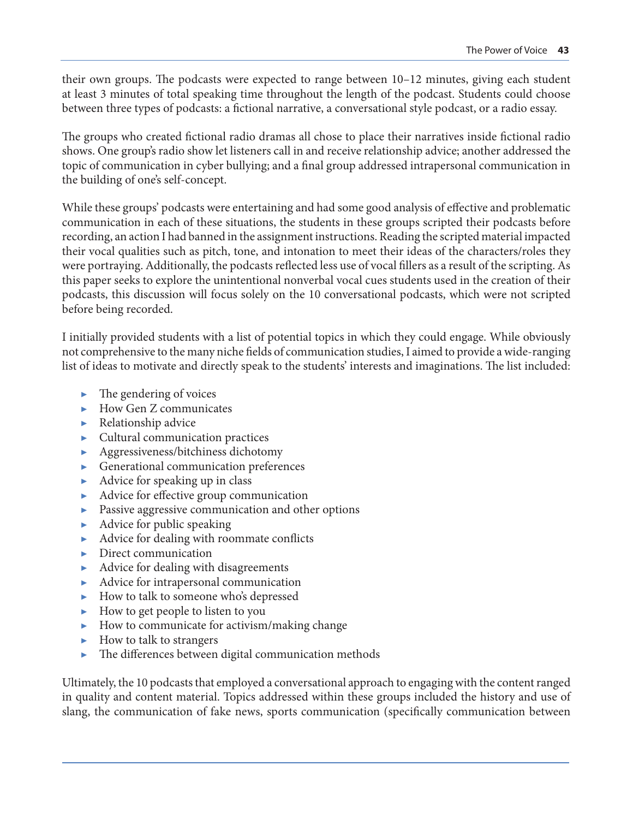their own groups. The podcasts were expected to range between 10–12 minutes, giving each student at least 3 minutes of total speaking time throughout the length of the podcast. Students could choose between three types of podcasts: a fictional narrative, a conversational style podcast, or a radio essay.

The groups who created fictional radio dramas all chose to place their narratives inside fictional radio shows. One group's radio show let listeners call in and receive relationship advice; another addressed the topic of communication in cyber bullying; and a final group addressed intrapersonal communication in the building of one's self-concept.

While these groups' podcasts were entertaining and had some good analysis of effective and problematic communication in each of these situations, the students in these groups scripted their podcasts before recording, an action I had banned in the assignment instructions. Reading the scripted material impacted their vocal qualities such as pitch, tone, and intonation to meet their ideas of the characters/roles they were portraying. Additionally, the podcasts reflected less use of vocal fillers as a result of the scripting. As this paper seeks to explore the unintentional nonverbal vocal cues students used in the creation of their podcasts, this discussion will focus solely on the 10 conversational podcasts, which were not scripted before being recorded.

I initially provided students with a list of potential topics in which they could engage. While obviously not comprehensive to the many niche fields of communication studies, I aimed to provide a wide-ranging list of ideas to motivate and directly speak to the students' interests and imaginations. The list included:

- $\blacktriangleright$  The gendering of voices
- $\blacktriangleright$  How Gen Z communicates
- $\blacktriangleright$  Relationship advice
- ▶ Cultural communication practices
- ▶ Aggressiveness/bitchiness dichotomy
- Generational communication preferences
- $\blacktriangleright$  Advice for speaking up in class
- ▶ Advice for effective group communication
- ▶ Passive aggressive communication and other options
- $\blacktriangleright$  Advice for public speaking
- ▶ Advice for dealing with roommate conflicts
- $\blacktriangleright$  Direct communication
- Advice for dealing with disagreements
- ▶ Advice for intrapersonal communication
- ▶ How to talk to someone who's depressed
- ▶ How to get people to listen to you
- ▶ How to communicate for activism/making change
- $\blacktriangleright$  How to talk to strangers
- ▶ The differences between digital communication methods

Ultimately, the 10 podcasts that employed a conversational approach to engaging with the content ranged in quality and content material. Topics addressed within these groups included the history and use of slang, the communication of fake news, sports communication (specifically communication between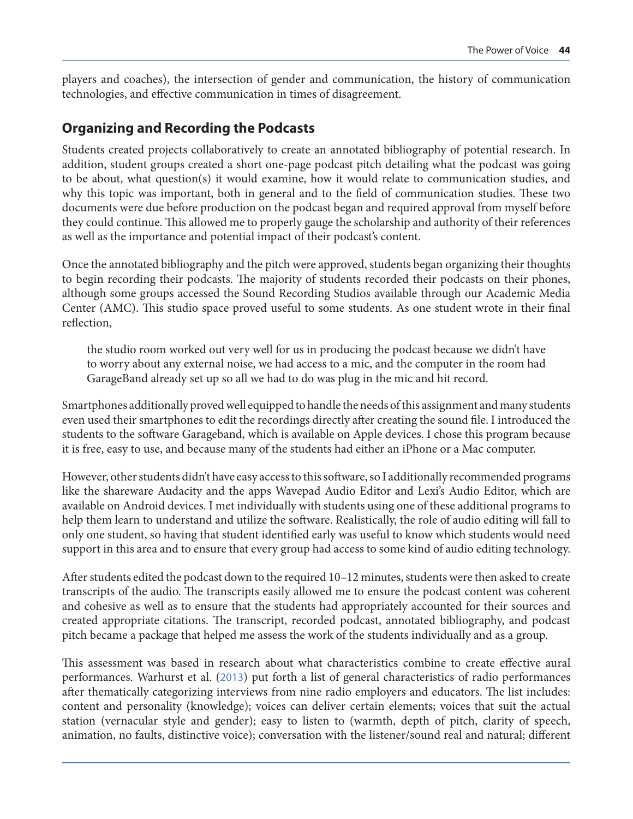players and coaches), the intersection of gender and communication, the history of communication technologies, and effective communication in times of disagreement.

#### **Organizing and Recording the Podcasts**

Students created projects collaboratively to create an annotated bibliography of potential research. In addition, student groups created a short one-page podcast pitch detailing what the podcast was going to be about, what question(s) it would examine, how it would relate to communication studies, and why this topic was important, both in general and to the field of communication studies. These two documents were due before production on the podcast began and required approval from myself before they could continue. This allowed me to properly gauge the scholarship and authority of their references as well as the importance and potential impact of their podcast's content.

Once the annotated bibliography and the pitch were approved, students began organizing their thoughts to begin recording their podcasts. The majority of students recorded their podcasts on their phones, although some groups accessed the Sound Recording Studios available through our Academic Media Center (AMC). This studio space proved useful to some students. As one student wrote in their final reflection,

the studio room worked out very well for us in producing the podcast because we didn't have to worry about any external noise, we had access to a mic, and the computer in the room had GarageBand already set up so all we had to do was plug in the mic and hit record.

Smartphones additionally proved well equipped to handle the needs of this assignment and many students even used their smartphones to edit the recordings directly after creating the sound file. I introduced the students to the software Garageband, which is available on Apple devices. I chose this program because it is free, easy to use, and because many of the students had either an iPhone or a Mac computer.

However, other students didn't have easy access to this software, so I additionally recommended programs like the shareware Audacity and the apps Wavepad Audio Editor and Lexi's Audio Editor, which are available on Android devices. I met individually with students using one of these additional programs to help them learn to understand and utilize the software. Realistically, the role of audio editing will fall to only one student, so having that student identified early was useful to know which students would need support in this area and to ensure that every group had access to some kind of audio editing technology.

After students edited the podcast down to the required 10–12 minutes, students were then asked to create transcripts of the audio. The transcripts easily allowed me to ensure the podcast content was coherent and cohesive as well as to ensure that the students had appropriately accounted for their sources and created appropriate citations. The transcript, recorded podcast, annotated bibliography, and podcast pitch became a package that helped me assess the work of the students individually and as a group.

This assessment was based in research about what characteristics combine to create effective aural performances. Warhurst et al. ([2013](#page-12-0)) put forth a list of general characteristics of radio performances after thematically categorizing interviews from nine radio employers and educators. The list includes: content and personality (knowledge); voices can deliver certain elements; voices that suit the actual station (vernacular style and gender); easy to listen to (warmth, depth of pitch, clarity of speech, animation, no faults, distinctive voice); conversation with the listener/sound real and natural; different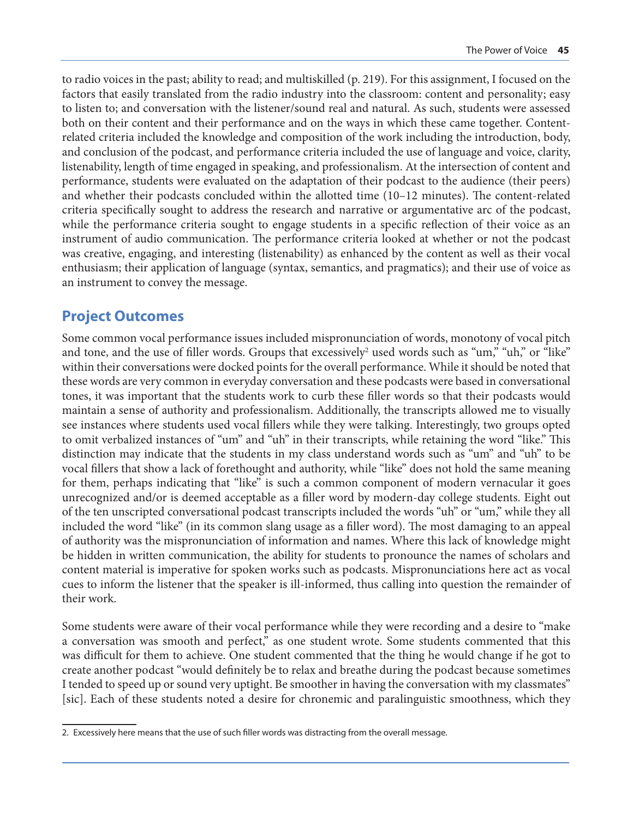to radio voices in the past; ability to read; and multiskilled (p. 219). For this assignment, I focused on the factors that easily translated from the radio industry into the classroom: content and personality; easy to listen to; and conversation with the listener/sound real and natural. As such, students were assessed both on their content and their performance and on the ways in which these came together. Contentrelated criteria included the knowledge and composition of the work including the introduction, body, and conclusion of the podcast, and performance criteria included the use of language and voice, clarity, listenability, length of time engaged in speaking, and professionalism. At the intersection of content and performance, students were evaluated on the adaptation of their podcast to the audience (their peers) and whether their podcasts concluded within the allotted time (10–12 minutes). The content-related criteria specifically sought to address the research and narrative or argumentative arc of the podcast, while the performance criteria sought to engage students in a specific reflection of their voice as an instrument of audio communication. The performance criteria looked at whether or not the podcast was creative, engaging, and interesting (listenability) as enhanced by the content as well as their vocal enthusiasm; their application of language (syntax, semantics, and pragmatics); and their use of voice as an instrument to convey the message.

### **Project Outcomes**

Some common vocal performance issues included mispronunciation of words, monotony of vocal pitch and tone, and the use of filler words. Groups that excessively<sup>2</sup> used words such as "um," "uh," or "like" within their conversations were docked points for the overall performance. While it should be noted that these words are very common in everyday conversation and these podcasts were based in conversational tones, it was important that the students work to curb these filler words so that their podcasts would maintain a sense of authority and professionalism. Additionally, the transcripts allowed me to visually see instances where students used vocal fillers while they were talking. Interestingly, two groups opted to omit verbalized instances of "um" and "uh" in their transcripts, while retaining the word "like." This distinction may indicate that the students in my class understand words such as "um" and "uh" to be vocal fillers that show a lack of forethought and authority, while "like" does not hold the same meaning for them, perhaps indicating that "like" is such a common component of modern vernacular it goes unrecognized and/or is deemed acceptable as a filler word by modern-day college students. Eight out of the ten unscripted conversational podcast transcripts included the words "uh" or "um," while they all included the word "like" (in its common slang usage as a filler word). The most damaging to an appeal of authority was the mispronunciation of information and names. Where this lack of knowledge might be hidden in written communication, the ability for students to pronounce the names of scholars and content material is imperative for spoken works such as podcasts. Mispronunciations here act as vocal cues to inform the listener that the speaker is ill-informed, thus calling into question the remainder of their work.

Some students were aware of their vocal performance while they were recording and a desire to "make a conversation was smooth and perfect," as one student wrote. Some students commented that this was difficult for them to achieve. One student commented that the thing he would change if he got to create another podcast "would definitely be to relax and breathe during the podcast because sometimes I tended to speed up or sound very uptight. Be smoother in having the conversation with my classmates" [sic]. Each of these students noted a desire for chronemic and paralinguistic smoothness, which they

<sup>2.</sup> Excessively here means that the use of such filler words was distracting from the overall message.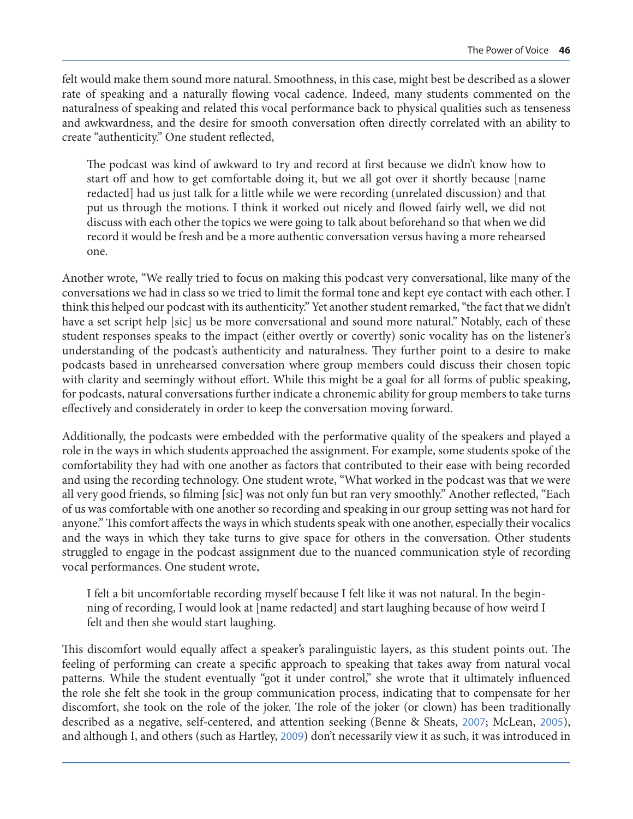felt would make them sound more natural. Smoothness, in this case, might best be described as a slower rate of speaking and a naturally flowing vocal cadence. Indeed, many students commented on the naturalness of speaking and related this vocal performance back to physical qualities such as tenseness and awkwardness, and the desire for smooth conversation often directly correlated with an ability to create "authenticity." One student reflected,

The podcast was kind of awkward to try and record at first because we didn't know how to start off and how to get comfortable doing it, but we all got over it shortly because [name redacted] had us just talk for a little while we were recording (unrelated discussion) and that put us through the motions. I think it worked out nicely and flowed fairly well, we did not discuss with each other the topics we were going to talk about beforehand so that when we did record it would be fresh and be a more authentic conversation versus having a more rehearsed one.

Another wrote, "We really tried to focus on making this podcast very conversational, like many of the conversations we had in class so we tried to limit the formal tone and kept eye contact with each other. I think this helped our podcast with its authenticity." Yet another student remarked, "the fact that we didn't have a set script help [sic] us be more conversational and sound more natural." Notably, each of these student responses speaks to the impact (either overtly or covertly) sonic vocality has on the listener's understanding of the podcast's authenticity and naturalness. They further point to a desire to make podcasts based in unrehearsed conversation where group members could discuss their chosen topic with clarity and seemingly without effort. While this might be a goal for all forms of public speaking, for podcasts, natural conversations further indicate a chronemic ability for group members to take turns effectively and considerately in order to keep the conversation moving forward.

Additionally, the podcasts were embedded with the performative quality of the speakers and played a role in the ways in which students approached the assignment. For example, some students spoke of the comfortability they had with one another as factors that contributed to their ease with being recorded and using the recording technology. One student wrote, "What worked in the podcast was that we were all very good friends, so filming [sic] was not only fun but ran very smoothly." Another reflected, "Each of us was comfortable with one another so recording and speaking in our group setting was not hard for anyone." This comfort affects the ways in which students speak with one another, especially their vocalics and the ways in which they take turns to give space for others in the conversation. Other students struggled to engage in the podcast assignment due to the nuanced communication style of recording vocal performances. One student wrote,

I felt a bit uncomfortable recording myself because I felt like it was not natural. In the beginning of recording, I would look at [name redacted] and start laughing because of how weird I felt and then she would start laughing.

This discomfort would equally affect a speaker's paralinguistic layers, as this student points out. The feeling of performing can create a specific approach to speaking that takes away from natural vocal patterns. While the student eventually "got it under control," she wrote that it ultimately influenced the role she felt she took in the group communication process, indicating that to compensate for her discomfort, she took on the role of the joker. The role of the joker (or clown) has been traditionally described as a negative, self-centered, and attention seeking (Benne & Sheats, [2007](#page-10-0); McLean, [2005](#page-11-0)), and although I, and others (such as Hartley, [2009](#page-11-0)) don't necessarily view it as such, it was introduced in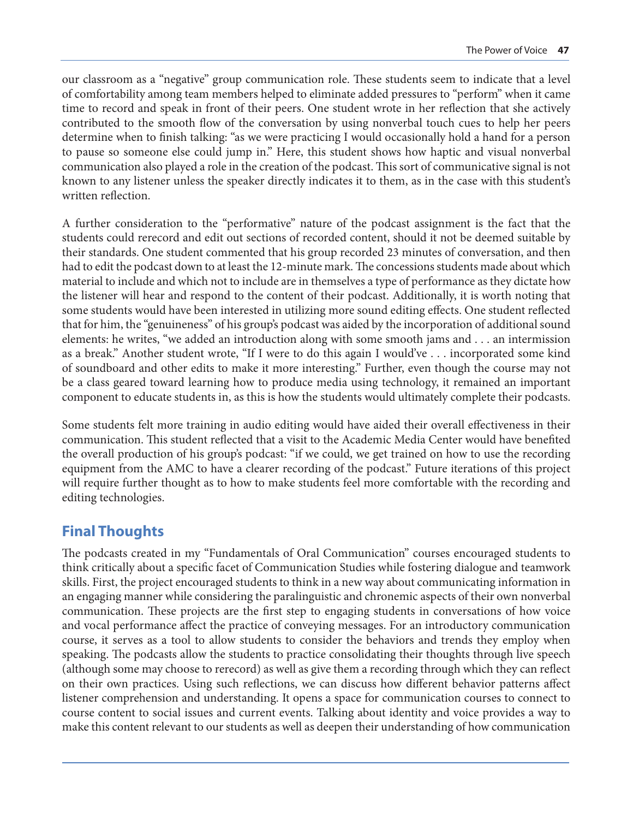our classroom as a "negative" group communication role. These students seem to indicate that a level of comfortability among team members helped to eliminate added pressures to "perform" when it came time to record and speak in front of their peers. One student wrote in her reflection that she actively contributed to the smooth flow of the conversation by using nonverbal touch cues to help her peers determine when to finish talking: "as we were practicing I would occasionally hold a hand for a person to pause so someone else could jump in." Here, this student shows how haptic and visual nonverbal communication also played a role in the creation of the podcast. This sort of communicative signal is not known to any listener unless the speaker directly indicates it to them, as in the case with this student's written reflection.

A further consideration to the "performative" nature of the podcast assignment is the fact that the students could rerecord and edit out sections of recorded content, should it not be deemed suitable by their standards. One student commented that his group recorded 23 minutes of conversation, and then had to edit the podcast down to at least the 12-minute mark. The concessions students made about which material to include and which not to include are in themselves a type of performance as they dictate how the listener will hear and respond to the content of their podcast. Additionally, it is worth noting that some students would have been interested in utilizing more sound editing effects. One student reflected that for him, the "genuineness" of his group's podcast was aided by the incorporation of additional sound elements: he writes, "we added an introduction along with some smooth jams and . . . an intermission as a break." Another student wrote, "If I were to do this again I would've . . . incorporated some kind of soundboard and other edits to make it more interesting." Further, even though the course may not be a class geared toward learning how to produce media using technology, it remained an important component to educate students in, as this is how the students would ultimately complete their podcasts.

Some students felt more training in audio editing would have aided their overall effectiveness in their communication. This student reflected that a visit to the Academic Media Center would have benefited the overall production of his group's podcast: "if we could, we get trained on how to use the recording equipment from the AMC to have a clearer recording of the podcast." Future iterations of this project will require further thought as to how to make students feel more comfortable with the recording and editing technologies.

# **Final Thoughts**

The podcasts created in my "Fundamentals of Oral Communication" courses encouraged students to think critically about a specific facet of Communication Studies while fostering dialogue and teamwork skills. First, the project encouraged students to think in a new way about communicating information in an engaging manner while considering the paralinguistic and chronemic aspects of their own nonverbal communication. These projects are the first step to engaging students in conversations of how voice and vocal performance affect the practice of conveying messages. For an introductory communication course, it serves as a tool to allow students to consider the behaviors and trends they employ when speaking. The podcasts allow the students to practice consolidating their thoughts through live speech (although some may choose to rerecord) as well as give them a recording through which they can reflect on their own practices. Using such reflections, we can discuss how different behavior patterns affect listener comprehension and understanding. It opens a space for communication courses to connect to course content to social issues and current events. Talking about identity and voice provides a way to make this content relevant to our students as well as deepen their understanding of how communication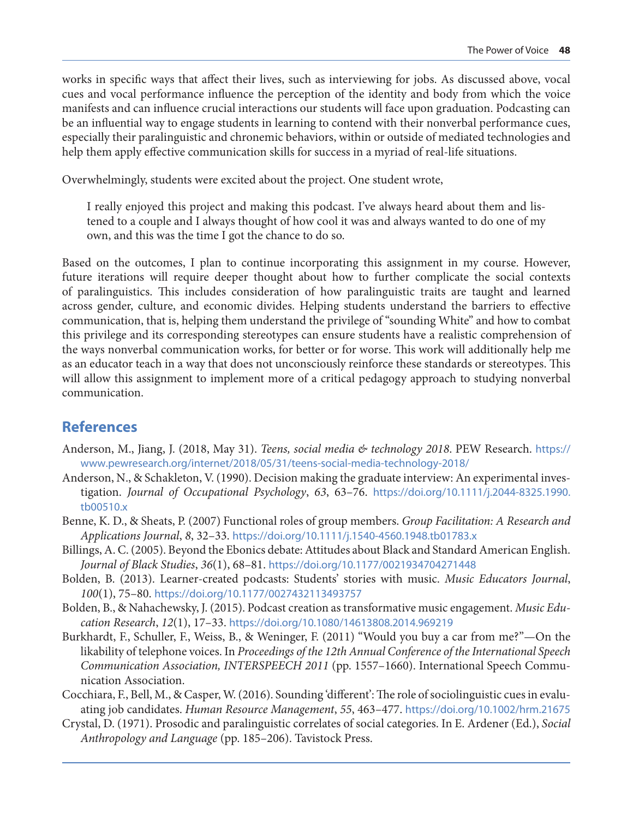<span id="page-10-0"></span>works in specific ways that affect their lives, such as interviewing for jobs. As discussed above, vocal cues and vocal performance influence the perception of the identity and body from which the voice manifests and can influence crucial interactions our students will face upon graduation. Podcasting can be an influential way to engage students in learning to contend with their nonverbal performance cues, especially their paralinguistic and chronemic behaviors, within or outside of mediated technologies and help them apply effective communication skills for success in a myriad of real-life situations.

Overwhelmingly, students were excited about the project. One student wrote,

I really enjoyed this project and making this podcast. I've always heard about them and listened to a couple and I always thought of how cool it was and always wanted to do one of my own, and this was the time I got the chance to do so.

Based on the outcomes, I plan to continue incorporating this assignment in my course. However, future iterations will require deeper thought about how to further complicate the social contexts of paralinguistics. This includes consideration of how paralinguistic traits are taught and learned across gender, culture, and economic divides. Helping students understand the barriers to effective communication, that is, helping them understand the privilege of "sounding White" and how to combat this privilege and its corresponding stereotypes can ensure students have a realistic comprehension of the ways nonverbal communication works, for better or for worse. This work will additionally help me as an educator teach in a way that does not unconsciously reinforce these standards or stereotypes. This will allow this assignment to implement more of a critical pedagogy approach to studying nonverbal communication.

# **References**

- Anderson, M., Jiang, J. (2018, May 31). *Teens, social media & technology 2018*. PEW Research. [https://](https://www.pewresearch.org/internet/2018/05/31/teens-social-media-technology-2018/) [www.pewresearch.org/internet/2018/05/31/teens-social-media-technology-2018/](https://www.pewresearch.org/internet/2018/05/31/teens-social-media-technology-2018/)
- Anderson, N., & Schakleton, V. (1990). Decision making the graduate interview: An experimental investigation. *Journal of Occupational Psychology*, *63*, 63–76. [https://doi.org/10.1111/j.2044-8325.1990.](https://doi.org/10.1111/j.2044-8325.1990.tb00510.x) [tb00510.x](https://doi.org/10.1111/j.2044-8325.1990.tb00510.x)
- Benne, K. D., & Sheats, P. (2007) Functional roles of group members. *Group Facilitation: A Research and Applications Journal*, *8*, 32–33. <https://doi.org/10.1111/j.1540-4560.1948.tb01783.x>
- Billings, A. C. (2005). Beyond the Ebonics debate: Attitudes about Black and Standard American English. *Journal of Black Studies*, *36*(1), 68–81. [https://doi.org/10.1177/0021934704271448](https://doi.org/10.1177%2F0021934704271448)
- Bolden, B. (2013). Learner-created podcasts: Students' stories with music. *Music Educators Journal*, *100*(1), 75–80. <https://doi.org/10.1177/0027432113493757>
- Bolden, B., & Nahachewsky, J. (2015). Podcast creation as transformative music engagement. *Music Education Research*, *12*(1), 17–33. <https://doi.org/10.1080/14613808.2014.969219>
- Burkhardt, F., Schuller, F., Weiss, B., & Weninger, F. (2011) "Would you buy a car from me?"—On the likability of telephone voices. In *Proceedings of the 12th Annual Conference of the International Speech Communication Association, INTERSPEECH 2011* (pp. 1557–1660). International Speech Communication Association.
- Cocchiara, F., Bell, M., & Casper, W. (2016). Sounding 'different': The role of sociolinguistic cues in evaluating job candidates. *Human Resource Management*, *55*, 463–477. <https://doi.org/10.1002/hrm.21675>
- Crystal, D. (1971). Prosodic and paralinguistic correlates of social categories. In E. Ardener (Ed.), *Social Anthropology and Language* (pp. 185–206). Tavistock Press.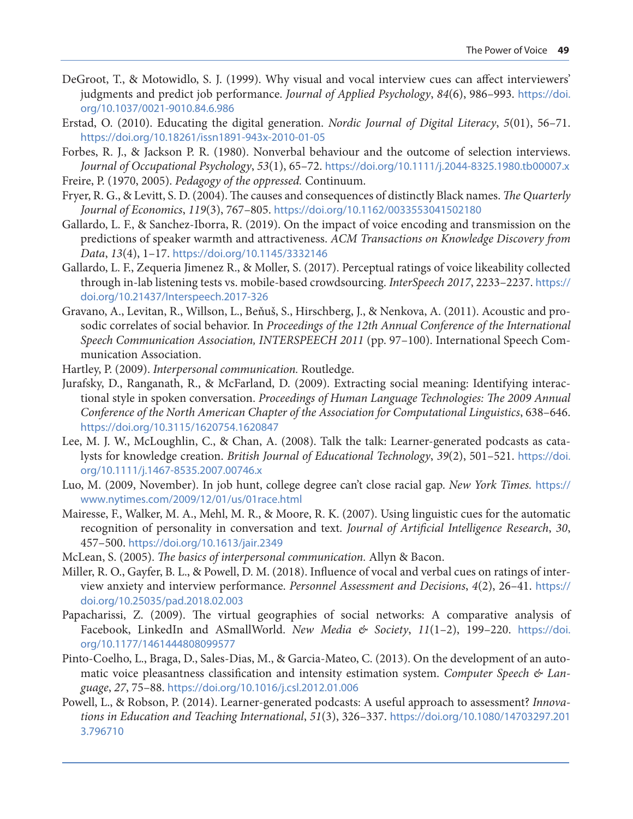- <span id="page-11-0"></span>DeGroot, T., & Motowidlo, S. J. (1999). Why visual and vocal interview cues can affect interviewers' judgments and predict job performance. *Journal of Applied Psychology*, *84*(6), 986–993. [https://doi.](https://doi.org/10.1037/0021-9010.84.6.986) [org/10.1037/0021-9010.84.6.986](https://doi.org/10.1037/0021-9010.84.6.986)
- Erstad, O. (2010). Educating the digital generation. *Nordic Journal of Digital Literacy*, *5*(01), 56–71. <https://doi.org/10.18261/issn1891-943x-2010-01-05>
- Forbes, R. J., & Jackson P. R. (1980). Nonverbal behaviour and the outcome of selection interviews. *Journal of Occupational Psychology*, *53*(1), 65–72. <https://doi.org/10.1111/j.2044-8325.1980.tb00007.x> Freire, P. (1970, 2005). *Pedagogy of the oppressed.* Continuum.
- Fryer, R. G., & Levitt, S. D. (2004). The causes and consequences of distinctly Black names. *The Quarterly Journal of Economics*, *119*(3), 767–805. <https://doi.org/10.1162/0033553041502180>
- Gallardo, L. F., & Sanchez-Iborra, R. (2019). On the impact of voice encoding and transmission on the predictions of speaker warmth and attractiveness. *ACM Transactions on Knowledge Discovery from Data*, *13*(4), 1–17. <https://doi.org/10.1145/3332146>
- Gallardo, L. F., Zequeria Jimenez R., & Moller, S. (2017). Perceptual ratings of voice likeability collected through in-lab listening tests vs. mobile-based crowdsourcing. *InterSpeech 2017*, 2233–2237. [https://](https://doi.org/10.21437/Interspeech.2017-326) [doi.org/10.21437/Interspeech.2017-326](https://doi.org/10.21437/Interspeech.2017-326)
- Gravano, A., Levitan, R., Willson, L., Beňuš, S., Hirschberg, J., & Nenkova, A. (2011). Acoustic and prosodic correlates of social behavior. In *Proceedings of the 12th Annual Conference of the International Speech Communication Association, INTERSPEECH 2011* (pp. 97–100). International Speech Communication Association.
- Hartley, P. (2009). *Interpersonal communication.* Routledge.
- Jurafsky, D., Ranganath, R., & McFarland, D. (2009). Extracting social meaning: Identifying interactional style in spoken conversation. *Proceedings of Human Language Technologies: The 2009 Annual Conference of the North American Chapter of the Association for Computational Linguistics*, 638–646. <https://doi.org/10.3115/1620754.1620847>
- Lee, M. J. W., McLoughlin, C., & Chan, A. (2008). Talk the talk: Learner-generated podcasts as catalysts for knowledge creation. *British Journal of Educational Technology*, *39*(2), 501–521. [https://doi.](https://doi.org/10.1111/j.1467-8535.2007.00746.x) [org/10.1111/j.1467-8535.2007.00746.x](https://doi.org/10.1111/j.1467-8535.2007.00746.x)
- Luo, M. (2009, November). In job hunt, college degree can't close racial gap. *New York Times.* [https://](https://www.nytimes.com/2009/12/01/us/01race.html) [www.nytimes.com/2009/12/01/us/01race.html](https://www.nytimes.com/2009/12/01/us/01race.html)
- Mairesse, F., Walker, M. A., Mehl, M. R., & Moore, R. K. (2007). Using linguistic cues for the automatic recognition of personality in conversation and text. *Journal of Artificial Intelligence Research*, *30*, 457–500. <https://doi.org/10.1613/jair.2349>
- McLean, S. (2005). *The basics of interpersonal communication.* Allyn & Bacon.
- Miller, R. O., Gayfer, B. L., & Powell, D. M. (2018). Influence of vocal and verbal cues on ratings of interview anxiety and interview performance. *Personnel Assessment and Decisions*, *4*(2), 26–41. [https://](https://doi.org/10.25035/pad.2018.02.003) [doi.org/10.25035/pad.2018.02.003](https://doi.org/10.25035/pad.2018.02.003)
- Papacharissi, Z. (2009). The virtual geographies of social networks: A comparative analysis of Facebook, LinkedIn and ASmallWorld. *New Media & Society*, *11*(1–2), 199–220. [https://doi.](https://doi.org/10.1177/1461444808099577) [org/10.1177/1461444808099577](https://doi.org/10.1177/1461444808099577)
- Pinto-Coelho, L., Braga, D., Sales-Dias, M., & Garcia-Mateo, C. (2013). On the development of an automatic voice pleasantness classification and intensity estimation system. *Computer Speech & Language*, *27*, 75–88. <https://doi.org/10.1016/j.csl.2012.01.006>
- Powell, L., & Robson, P. (2014). Learner-generated podcasts: A useful approach to assessment? *Innovations in Education and Teaching International*, *51*(3), 326–337. [https://doi.org/10.1080/14703297.201](https://doi.org/10.1080/14703297.2013.796710) [3.796710](https://doi.org/10.1080/14703297.2013.796710)